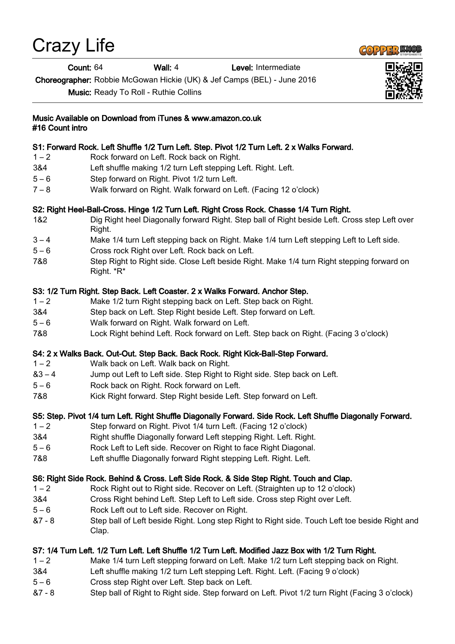# Crazy Life

Count: 64 Wall: 4 Level: Intermediate

Choreographer: Robbie McGowan Hickie (UK) & Jef Camps (BEL) - June 2016

Music: Ready To Roll - Ruthie Collins



#### S1: Forward Rock. Left Shuffle 1/2 Turn Left. Step. Pivot 1/2 Turn Left. 2 x Walks Forward.

- 1 2 Rock forward on Left. Rock back on Right.
- 3&4 Left shuffle making 1/2 turn Left stepping Left. Right. Left.
- 5 6 Step forward on Right. Pivot 1/2 turn Left.
- 7 8 Walk forward on Right. Walk forward on Left. (Facing 12 o'clock)

## S2: Right Heel-Ball-Cross. Hinge 1/2 Turn Left. Right Cross Rock. Chasse 1/4 Turn Right.

- 1&2 Dig Right heel Diagonally forward Right. Step ball of Right beside Left. Cross step Left over Right.
- 3 4 Make 1/4 turn Left stepping back on Right. Make 1/4 turn Left stepping Left to Left side.
- 5 6 Cross rock Right over Left. Rock back on Left.
- 7&8 Step Right to Right side. Close Left beside Right. Make 1/4 turn Right stepping forward on Right. \*R\*

#### S3: 1/2 Turn Right. Step Back. Left Coaster. 2 x Walks Forward. Anchor Step.

- 1 2 Make 1/2 turn Right stepping back on Left. Step back on Right.
- 3&4 Step back on Left. Step Right beside Left. Step forward on Left.
- 5 6 Walk forward on Right. Walk forward on Left.
- 7&8 Lock Right behind Left. Rock forward on Left. Step back on Right. (Facing 3 o'clock)

#### S4: 2 x Walks Back. Out-Out. Step Back. Back Rock. Right Kick-Ball-Step Forward.

- 1 2 Walk back on Left. Walk back on Right.
- &3 4 Jump out Left to Left side. Step Right to Right side. Step back on Left.
- 5 6 Rock back on Right. Rock forward on Left.
- 7&8 Kick Right forward. Step Right beside Left. Step forward on Left.

# S5: Step. Pivot 1/4 turn Left. Right Shuffle Diagonally Forward. Side Rock. Left Shuffle Diagonally Forward.

- 1 2 Step forward on Right. Pivot 1/4 turn Left. (Facing 12 o'clock)
- 3&4 Right shuffle Diagonally forward Left stepping Right. Left. Right.
- 5 6 Rock Left to Left side. Recover on Right to face Right Diagonal.
- 7&8 Left shuffle Diagonally forward Right stepping Left. Right. Left.

#### S6: Right Side Rock. Behind & Cross. Left Side Rock. & Side Step Right. Touch and Clap.

- 1 2 Rock Right out to Right side. Recover on Left. (Straighten up to 12 o'clock)
- 3&4 Cross Right behind Left. Step Left to Left side. Cross step Right over Left.
- 5 6 Rock Left out to Left side. Recover on Right.
- &7 8 Step ball of Left beside Right. Long step Right to Right side. Touch Left toe beside Right and Clap.

# S7: 1/4 Turn Left. 1/2 Turn Left. Left Shuffle 1/2 Turn Left. Modified Jazz Box with 1/2 Turn Right.

- 1 2 Make 1/4 turn Left stepping forward on Left. Make 1/2 turn Left stepping back on Right.
- 3&4 Left shuffle making 1/2 turn Left stepping Left. Right. Left. (Facing 9 o'clock)
- 5 6 Cross step Right over Left. Step back on Left.
- &7 8 Step ball of Right to Right side. Step forward on Left. Pivot 1/2 turn Right (Facing 3 o'clock)